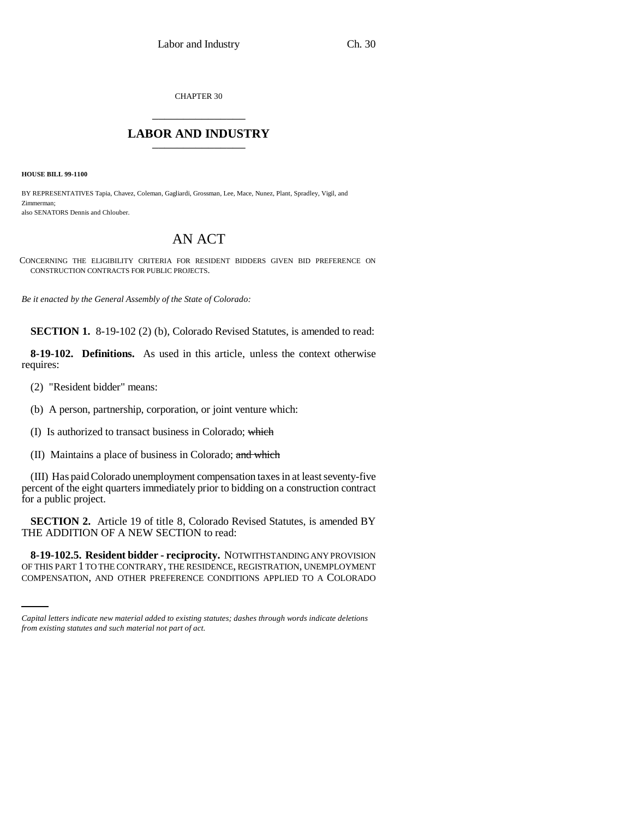CHAPTER 30 \_\_\_\_\_\_\_\_\_\_\_\_\_\_\_

## **LABOR AND INDUSTRY** \_\_\_\_\_\_\_\_\_\_\_\_\_\_\_

**HOUSE BILL 99-1100** 

BY REPRESENTATIVES Tapia, Chavez, Coleman, Gagliardi, Grossman, Lee, Mace, Nunez, Plant, Spradley, Vigil, and Zimmerman; also SENATORS Dennis and Chlouber.

## AN ACT

CONCERNING THE ELIGIBILITY CRITERIA FOR RESIDENT BIDDERS GIVEN BID PREFERENCE ON CONSTRUCTION CONTRACTS FOR PUBLIC PROJECTS.

*Be it enacted by the General Assembly of the State of Colorado:*

**SECTION 1.** 8-19-102 (2) (b), Colorado Revised Statutes, is amended to read:

**8-19-102. Definitions.** As used in this article, unless the context otherwise requires:

(2) "Resident bidder" means:

(b) A person, partnership, corporation, or joint venture which:

(I) Is authorized to transact business in Colorado; which

(II) Maintains a place of business in Colorado; and which

(III) Has paid Colorado unemployment compensation taxes in at least seventy-five percent of the eight quarters immediately prior to bidding on a construction contract for a public project.

**SECTION 2.** Article 19 of title 8, Colorado Revised Statutes, is amended BY THE ADDITION OF A NEW SECTION to read:

 **8-19-102.5. Resident bidder - reciprocity.** NOTWITHSTANDING ANY PROVISION OF THIS PART 1 TO THE CONTRARY, THE RESIDENCE, REGISTRATION, UNEMPLOYMENT COMPENSATION, AND OTHER PREFERENCE CONDITIONS APPLIED TO A COLORADO

*Capital letters indicate new material added to existing statutes; dashes through words indicate deletions from existing statutes and such material not part of act.*